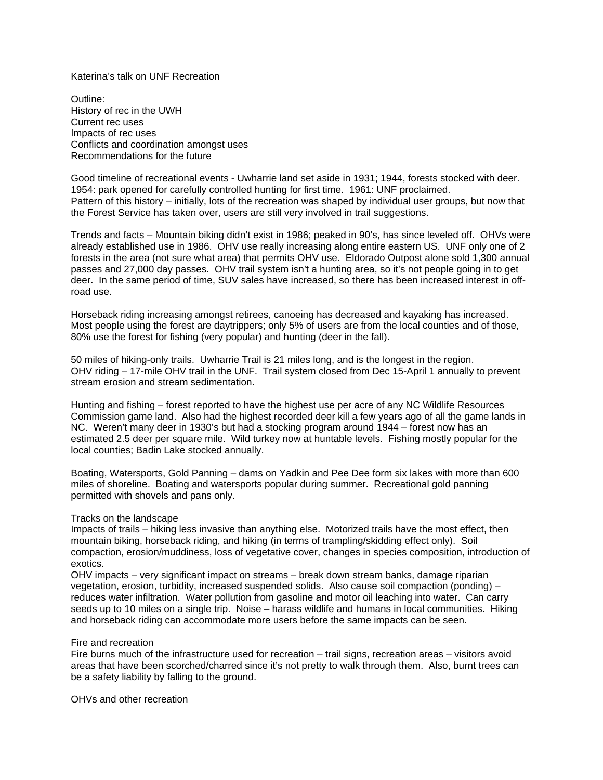Katerina's talk on UNF Recreation

Outline: History of rec in the UWH Current rec uses Impacts of rec uses Conflicts and coordination amongst uses Recommendations for the future

Good timeline of recreational events - Uwharrie land set aside in 1931; 1944, forests stocked with deer. 1954: park opened for carefully controlled hunting for first time. 1961: UNF proclaimed. Pattern of this history – initially, lots of the recreation was shaped by individual user groups, but now that the Forest Service has taken over, users are still very involved in trail suggestions.

Trends and facts – Mountain biking didn't exist in 1986; peaked in 90's, has since leveled off. OHVs were already established use in 1986. OHV use really increasing along entire eastern US. UNF only one of 2 forests in the area (not sure what area) that permits OHV use. Eldorado Outpost alone sold 1,300 annual passes and 27,000 day passes. OHV trail system isn't a hunting area, so it's not people going in to get deer. In the same period of time, SUV sales have increased, so there has been increased interest in offroad use.

Horseback riding increasing amongst retirees, canoeing has decreased and kayaking has increased. Most people using the forest are daytrippers; only 5% of users are from the local counties and of those, 80% use the forest for fishing (very popular) and hunting (deer in the fall).

50 miles of hiking-only trails. Uwharrie Trail is 21 miles long, and is the longest in the region. OHV riding – 17-mile OHV trail in the UNF. Trail system closed from Dec 15-April 1 annually to prevent stream erosion and stream sedimentation.

Hunting and fishing – forest reported to have the highest use per acre of any NC Wildlife Resources Commission game land. Also had the highest recorded deer kill a few years ago of all the game lands in NC. Weren't many deer in 1930's but had a stocking program around 1944 – forest now has an estimated 2.5 deer per square mile. Wild turkey now at huntable levels. Fishing mostly popular for the local counties; Badin Lake stocked annually.

Boating, Watersports, Gold Panning – dams on Yadkin and Pee Dee form six lakes with more than 600 miles of shoreline. Boating and watersports popular during summer. Recreational gold panning permitted with shovels and pans only.

## Tracks on the landscape

Impacts of trails – hiking less invasive than anything else. Motorized trails have the most effect, then mountain biking, horseback riding, and hiking (in terms of trampling/skidding effect only). Soil compaction, erosion/muddiness, loss of vegetative cover, changes in species composition, introduction of exotics.

OHV impacts – very significant impact on streams – break down stream banks, damage riparian vegetation, erosion, turbidity, increased suspended solids. Also cause soil compaction (ponding) – reduces water infiltration. Water pollution from gasoline and motor oil leaching into water. Can carry seeds up to 10 miles on a single trip. Noise – harass wildlife and humans in local communities. Hiking and horseback riding can accommodate more users before the same impacts can be seen.

## Fire and recreation

Fire burns much of the infrastructure used for recreation – trail signs, recreation areas – visitors avoid areas that have been scorched/charred since it's not pretty to walk through them. Also, burnt trees can be a safety liability by falling to the ground.

OHVs and other recreation